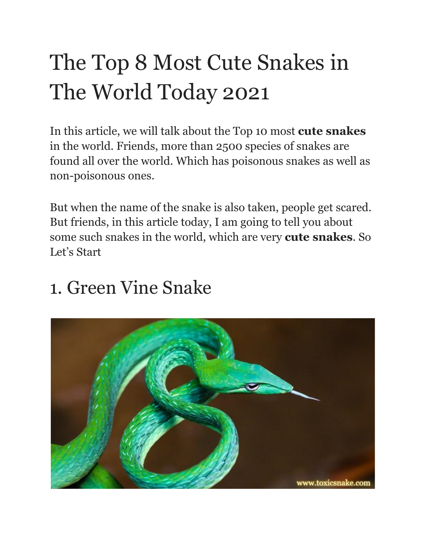# The Top 8 Most Cute Snakes in The World Today 2021

In this article, we will talk about the Top 10 most **cute snakes** in the world. Friends, more than 2500 species of snakes are found all over the world. Which has poisonous snakes as well as non-poisonous ones.

But when the name of the snake is also taken, people get scared. But friends, in this article today, I am going to tell you about some such snakes in the world, which are very **cute snakes**. So Let's Start

#### 1. Green Vine Snake

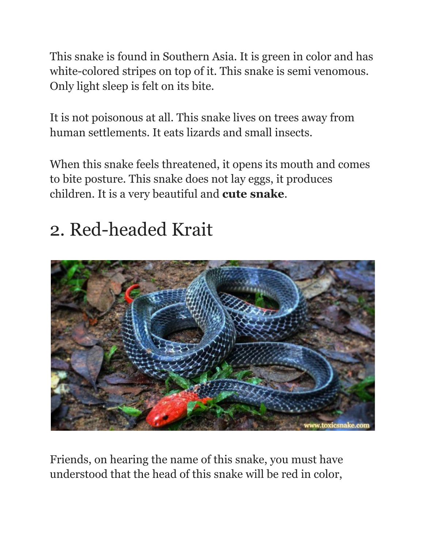This snake is found in Southern Asia. It is green in color and has white-colored stripes on top of it. This snake is semi venomous. Only light sleep is felt on its bite.

It is not poisonous at all. This snake lives on trees away from human settlements. It eats lizards and small insects.

When this snake feels threatened, it opens its mouth and comes to bite posture. This snake does not lay eggs, it produces children. It is a very beautiful and **cute snake**.

# 2. Red-headed Krait



Friends, on hearing the name of this snake, you must have understood that the head of this snake will be red in color,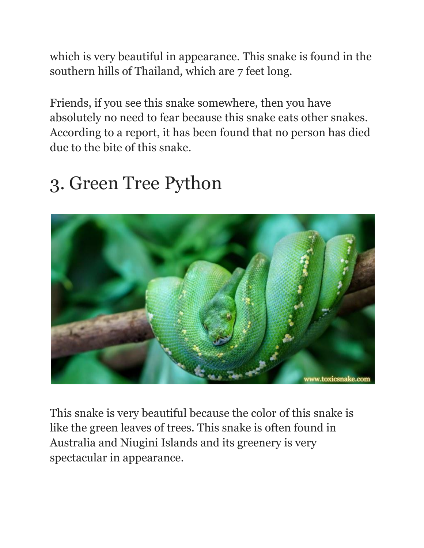which is very beautiful in appearance. This snake is found in the southern hills of Thailand, which are 7 feet long.

Friends, if you see this snake somewhere, then you have absolutely no need to fear because this snake eats other snakes. According to a report, it has been found that no person has died due to the bite of this snake.

### 3. Green Tree Python



This snake is very beautiful because the color of this snake is like the green leaves of trees. This snake is often found in Australia and Niugini Islands and its greenery is very spectacular in appearance.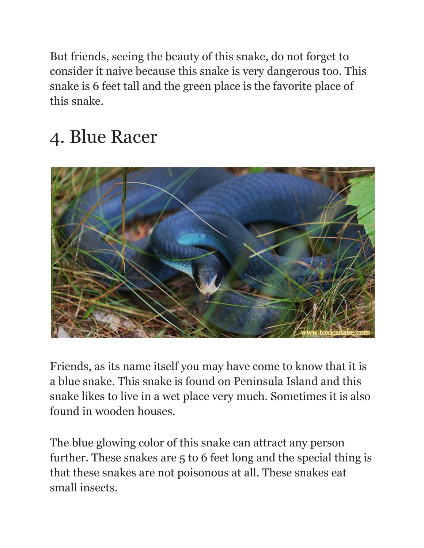But friends, seeing the beauty of this snake, do not forget to consider it naive because this snake is very dangerous too. This snake is 6 feet tall and the green place is the favorite place of this snake.

# 4. Blue Racer



Friends, as its name itself you may have come to know that it is a blue snake. This snake is found on Peninsula Island and this snake likes to live in a wet place very much. Sometimes it is also found in wooden houses.

The blue glowing color of this snake can attract any person further. These snakes are 5 to 6 feet long and the special thing is that these snakes are not poisonous at all. These snakes eat small insects.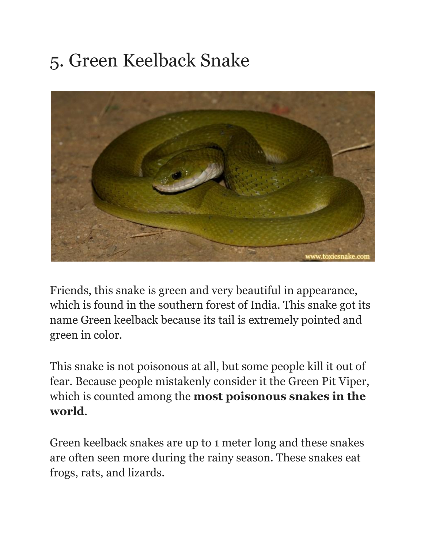## 5. Green Keelback Snake



Friends, this snake is green and very beautiful in appearance, which is found in the southern forest of India. This snake got its name Green keelback because its tail is extremely pointed and green in color.

This snake is not poisonous at all, but some people kill it out of fear. Because people mistakenly consider it the Green Pit Viper, which is counted among the **most poisonous snakes in the world**.

Green keelback snakes are up to 1 meter long and these snakes are often seen more during the rainy season. These snakes eat frogs, rats, and lizards.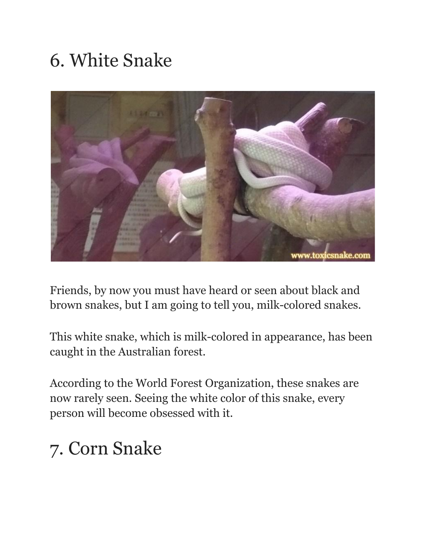## 6. White Snake



Friends, by now you must have heard or seen about black and brown snakes, but I am going to tell you, milk-colored snakes.

This white snake, which is milk-colored in appearance, has been caught in the Australian forest.

According to the World Forest Organization, these snakes are now rarely seen. Seeing the white color of this snake, every person will become obsessed with it.

### 7. Corn Snake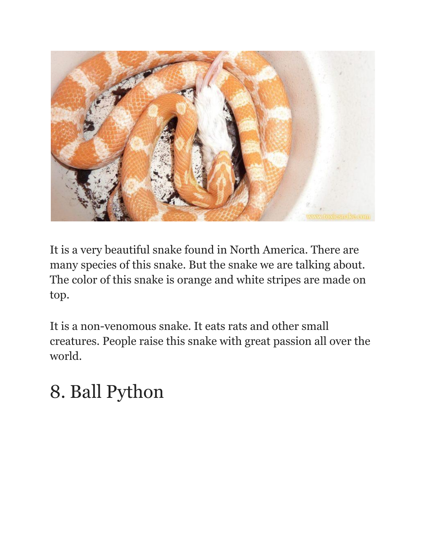

It is a very beautiful snake found in North America. There are many species of this snake. But the snake we are talking about. The color of this snake is orange and white stripes are made on top.

It is a non-venomous snake. It eats rats and other small creatures. People raise this snake with great passion all over the world.

## 8. Ball Python